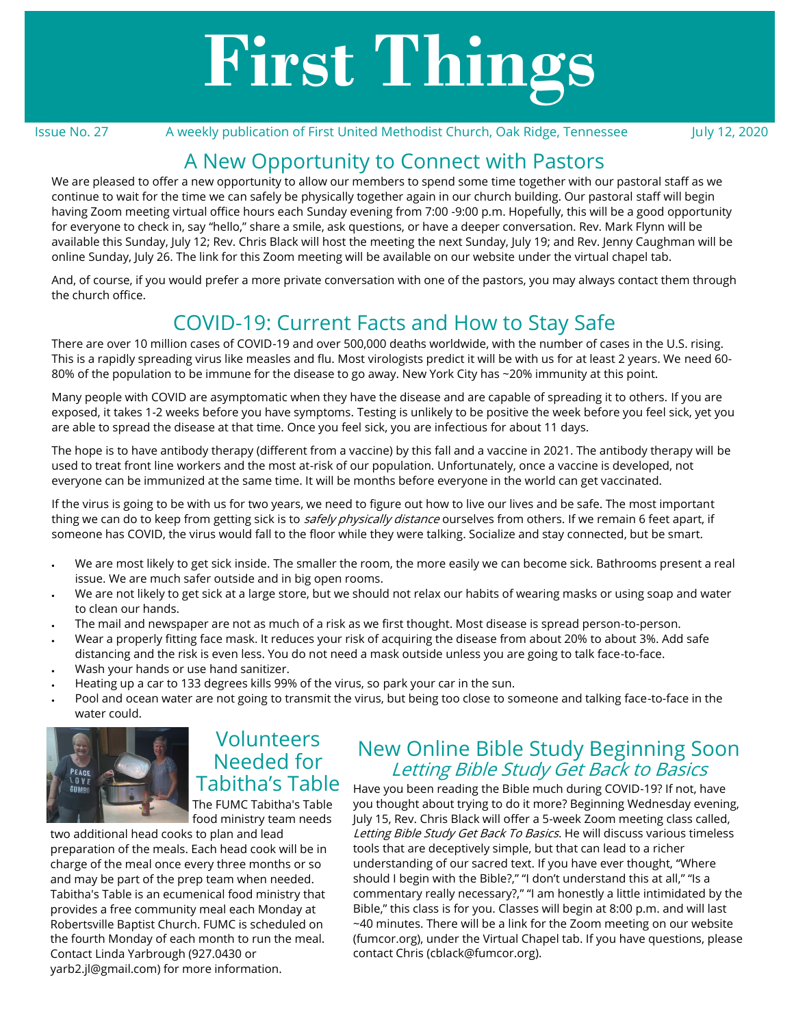# **First Things**

Issue No. 27 A weekly publication of First United Methodist Church, Oak Ridge, Tennessee July 12, 2020

## A New Opportunity to Connect with Pastors

We are pleased to offer a new opportunity to allow our members to spend some time together with our pastoral staff as we continue to wait for the time we can safely be physically together again in our church building. Our pastoral staff will begin having Zoom meeting virtual office hours each [Sunday evening from 7:00](x-apple-data-detectors://0) -9:00 p.m. Hopefully, this will be a good opportunity for everyone to check in, say "hello," share a smile, ask questions, or have a deeper conversation. Rev. Mark Flynn will be available [this Sunday, July 12;](x-apple-data-detectors://1) Rev. Chris Black will host the meeting [the next Sunday, July 19;](x-apple-data-detectors://2) and Rev. Jenny Caughman will be online [Sunday, July 26.](x-apple-data-detectors://3) The link for this Zoom meeting will be available on our website under the virtual chapel tab.

And, of course, if you would prefer a more private conversation with one of the pastors, you may always contact them through the church office.

## COVID-19: Current Facts and How to Stay Safe

There are over 10 million cases of COVID-19 and over 500,000 deaths worldwide, with the number of cases in the U.S. rising. This is a rapidly spreading virus like measles and flu. Most virologists predict it will be with us for at least 2 years. We need 60- 80% of the population to be immune for the disease to go away. New York City has ~20% immunity at this point.

Many people with COVID are asymptomatic when they have the disease and are capable of spreading it to others. If you are exposed, it takes 1-2 weeks before you have symptoms. Testing is unlikely to be positive the week before you feel sick, yet you are able to spread the disease at that time. Once you feel sick, you are infectious for about 11 days.

The hope is to have antibody therapy (different from a vaccine) by this fall and a vaccine in 2021. The antibody therapy will be used to treat front line workers and the most at-risk of our population. Unfortunately, once a vaccine is developed, not everyone can be immunized at the same time. It will be months before everyone in the world can get vaccinated.

If the virus is going to be with us for two years, we need to figure out how to live our lives and be safe. The most important thing we can do to keep from getting sick is to *safely physically distance* ourselves from others. If we remain 6 feet apart, if someone has COVID, the virus would fall to the floor while they were talking. Socialize and stay connected, but be smart.

- We are most likely to get sick inside. The smaller the room, the more easily we can become sick. Bathrooms present a real issue. We are much safer outside and in big open rooms.
- We are not likely to get sick at a large store, but we should not relax our habits of wearing masks or using soap and water to clean our hands.
- The mail and newspaper are not as much of a risk as we first thought. Most disease is spread person-to-person.
- Wear a properly fitting face mask. It reduces your risk of acquiring the disease from about 20% to about 3%. Add safe distancing and the risk is even less. You do not need a mask outside unless you are going to talk face-to-face.
- Wash your hands or use hand sanitizer.
- Heating up a car to 133 degrees kills 99% of the virus, so park your car in the sun.
- Pool and ocean water are not going to transmit the virus, but being too close to someone and talking face-to-face in the water could.



Volunteers Needed for Tabitha's Table The FUMC Tabitha's Table

food ministry team needs

two additional head cooks to plan and lead preparation of the meals. Each head cook will be in charge of the meal once every three months or so and may be part of the prep team when needed. Tabitha's Table is an ecumenical food ministry that provides a free community meal each Monday at Robertsville Baptist Church. FUMC is scheduled on the fourth Monday of each month to run the meal. Contact Linda Yarbrough (927.0430 or [yarb2.jl@gmail.com\)](mailto:yarb2.jl@gmail.com) for more information.

## New Online Bible Study Beginning Soon Letting Bible Study Get Back to Basics

Have you been reading the Bible much during COVID-19? If not, have you thought about trying to do it more? Beginning Wednesday evening, July 15, Rev. Chris Black will offer a 5-week Zoom meeting class called, Letting Bible Study Get Back To Basics. He will discuss various timeless tools that are deceptively simple, but that can lead to a richer understanding of our sacred text. If you have ever thought, "Where should I begin with the Bible?," "I don't understand this at all," "Is a commentary really necessary?," "I am honestly a little intimidated by the Bible," this class is for you. Classes will begin at 8:00 p.m. and will last ~40 minutes. There will be a link for the Zoom meeting on our website [\(fumcor.org\)](http://fumcor.org), under the Virtual Chapel tab. If you have questions, please contact Chris ([cblack@fumcor.org\).](mailto:cblack@fumcor.org)